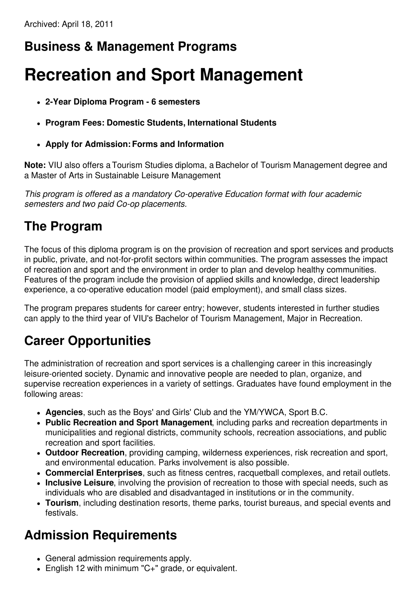## **Business & Management Programs**

# **Recreation and Sport Management**

- **2-Year Diploma Program - 6 semesters**
- **Program Fees: Domestic Students, International Students**
- **Apply for Admission:Forms and Information**

**Note:** VIU also offers a Tourism Studies diploma, a Bachelor of Tourism Management degree and a Master of Arts in Sustainable Leisure Management.

*This program is offered as a mandatory Co-operative Education format with four academic semesters and two paid Co-op placements.*

#### **The Program**

The focus of this diploma program is on the provision of recreation and sport services and products in public, private, and not-for-profit sectors within communities. The program assesses the impact of recreation and sport and the environment in order to plan and develop healthy communities. Features of the program include the provision of applied skills and knowledge, direct leadership experience, a co-operative education model (paid employment), and small class sizes.

The program prepares students for career entry; however, students interested in further studies can apply to the third year of VIU's Bachelor of Tourism Management, Major in Recreation.

### **Career Opportunities**

The administration of recreation and sport services is a challenging career in this increasingly leisure-oriented society. Dynamic and innovative people are needed to plan, organize, and supervise recreation experiences in a variety of settings. Graduates have found employment in the following areas:

- **Agencies**, such as the Boys' and Girls' Club and the YM/YWCA, Sport B.C.
- **Public Recreation and Sport Management**, including parks and recreation departments in municipalities and regional districts, community schools, recreation associations, and public recreation and sport facilities.
- **Outdoor Recreation**, providing camping, wilderness experiences, risk recreation and sport, and environmental education. Parks involvement is also possible.
- **Commercial Enterprises**, such as fitness centres, racquetball complexes, and retail outlets.
- **Inclusive Leisure**, involving the provision of recreation to those with special needs, such as individuals who are disabled and disadvantaged in institutions or in the community.
- **Tourism**, including destination resorts, theme parks, tourist bureaus, and special events and festivals.

#### **Admission Requirements**

- General admission requirements apply.
- English 12 with minimum "C+" grade, or equivalent.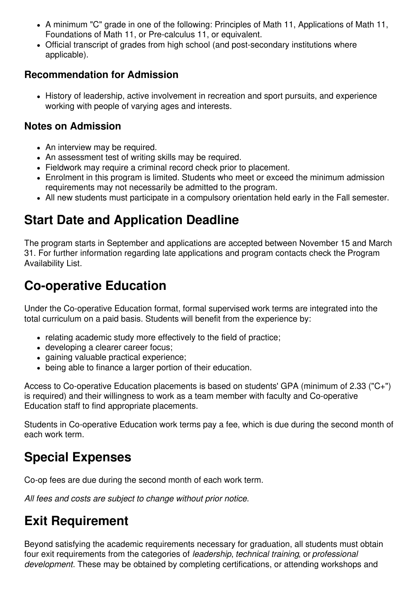- A minimum "C" grade in one of the following: Principles of Math 11, Applications of Math 11, Foundations of Math 11, or Pre-calculus 11, or equivalent.
- Official transcript of grades from high school (and post-secondary institutions where applicable).

#### **Recommendation for Admission**

History of leadership, active involvement in recreation and sport pursuits, and experience working with people of varying ages and interests.

#### **Notes on Admission**

- An interview may be required.
- An assessment test of writing skills may be required.
- Fieldwork may require a criminal record check prior to placement.
- Enrolment in this program is limited. Students who meet or exceed the minimum admission requirements may not necessarily be admitted to the program.
- All new students must participate in a compulsory orientation held early in the Fall semester.

# **Start Date and Application Deadline**

The program starts in September and applications are accepted between November 15 and March 31. For further information regarding late applications and program contacts check the Program Availability List.

## **Co-operative Education**

Under the Co-operative Education format, formal supervised work terms are integrated into the total curriculum on a paid basis. Students will benefit from the experience by:

- relating academic study more effectively to the field of practice;
- developing a clearer career focus;
- gaining valuable practical experience;
- being able to finance a larger portion of their education.

Access to Co-operative Education placements is based on students' GPA (minimum of 2.33 ("C+") is required) and their willingness to work as a team member with faculty and Co-operative Education staff to find appropriate placements.

Students in Co-operative Education work terms pay a fee, which is due during the second month of each work term.

# **Special Expenses**

Co-op fees are due during the second month of each work term.

*All fees and costs are subject to change without prior notice.*

# **Exit Requirement**

Beyond satisfying the academic requirements necessary for graduation, all students must obtain four exit requirements from the categories of *leadership*, *technical training*, or *professional development*. These may be obtained by completing certifications, or attending workshops and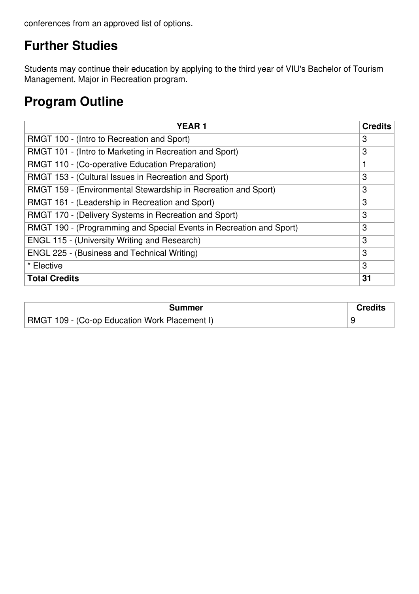conferences from an approved list of options.

## **Further Studies**

Students may continue their education by applying to the third year of VIU's Bachelor of Tourism Management, Major in Recreation program.

#### **Program Outline**

| <b>YEAR1</b>                                                        | <b>Credits</b> |
|---------------------------------------------------------------------|----------------|
| RMGT 100 - (Intro to Recreation and Sport)                          | 3              |
| RMGT 101 - (Intro to Marketing in Recreation and Sport)             | 3              |
| RMGT 110 - (Co-operative Education Preparation)                     | 1              |
| RMGT 153 - (Cultural Issues in Recreation and Sport)                | 3              |
| RMGT 159 - (Environmental Stewardship in Recreation and Sport)      | 3              |
| RMGT 161 - (Leadership in Recreation and Sport)                     | 3              |
| RMGT 170 - (Delivery Systems in Recreation and Sport)               | 3              |
| RMGT 190 - (Programming and Special Events in Recreation and Sport) | 3              |
| <b>ENGL 115 - (University Writing and Research)</b>                 | 3              |
| ENGL 225 - (Business and Technical Writing)                         | 3              |
| * Elective                                                          | 3              |
| <b>Total Credits</b>                                                | 31             |

| Summer                                        | Credits |
|-----------------------------------------------|---------|
| RMGT 109 - (Co-op Education Work Placement I) |         |